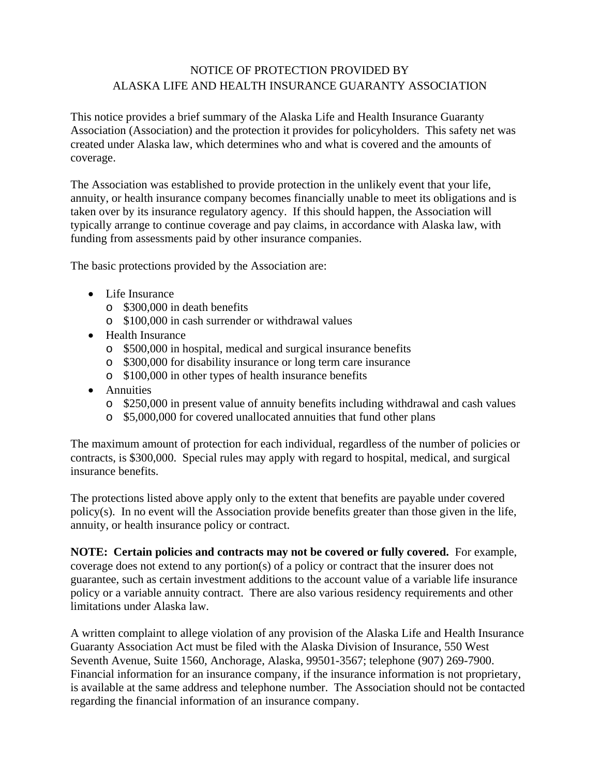## NOTICE OF PROTECTION PROVIDED BY ALASKA LIFE AND HEALTH INSURANCE GUARANTY ASSOCIATION

This notice provides a brief summary of the Alaska Life and Health Insurance Guaranty Association (Association) and the protection it provides for policyholders. This safety net was created under Alaska law, which determines who and what is covered and the amounts of coverage.

The Association was established to provide protection in the unlikely event that your life, annuity, or health insurance company becomes financially unable to meet its obligations and is taken over by its insurance regulatory agency. If this should happen, the Association will typically arrange to continue coverage and pay claims, in accordance with Alaska law, with funding from assessments paid by other insurance companies.

The basic protections provided by the Association are:

- Life Insurance
	- o \$300,000 in death benefits
	- o \$100,000 in cash surrender or withdrawal values
- Health Insurance
	- o \$500,000 in hospital, medical and surgical insurance benefits
	- o \$300,000 for disability insurance or long term care insurance
	- o \$100,000 in other types of health insurance benefits
- Annuities
	- o \$250,000 in present value of annuity benefits including withdrawal and cash values
	- o \$5,000,000 for covered unallocated annuities that fund other plans

The maximum amount of protection for each individual, regardless of the number of policies or contracts, is \$300,000. Special rules may apply with regard to hospital, medical, and surgical insurance benefits.

The protections listed above apply only to the extent that benefits are payable under covered policy(s). In no event will the Association provide benefits greater than those given in the life, annuity, or health insurance policy or contract.

**NOTE: Certain policies and contracts may not be covered or fully covered.** For example, coverage does not extend to any portion(s) of a policy or contract that the insurer does not guarantee, such as certain investment additions to the account value of a variable life insurance policy or a variable annuity contract. There are also various residency requirements and other limitations under Alaska law.

A written complaint to allege violation of any provision of the Alaska Life and Health Insurance Guaranty Association Act must be filed with the Alaska Division of Insurance, 550 West Seventh Avenue, Suite 1560, Anchorage, Alaska, 99501-3567; telephone (907) 269-7900. Financial information for an insurance company, if the insurance information is not proprietary, is available at the same address and telephone number. The Association should not be contacted regarding the financial information of an insurance company.